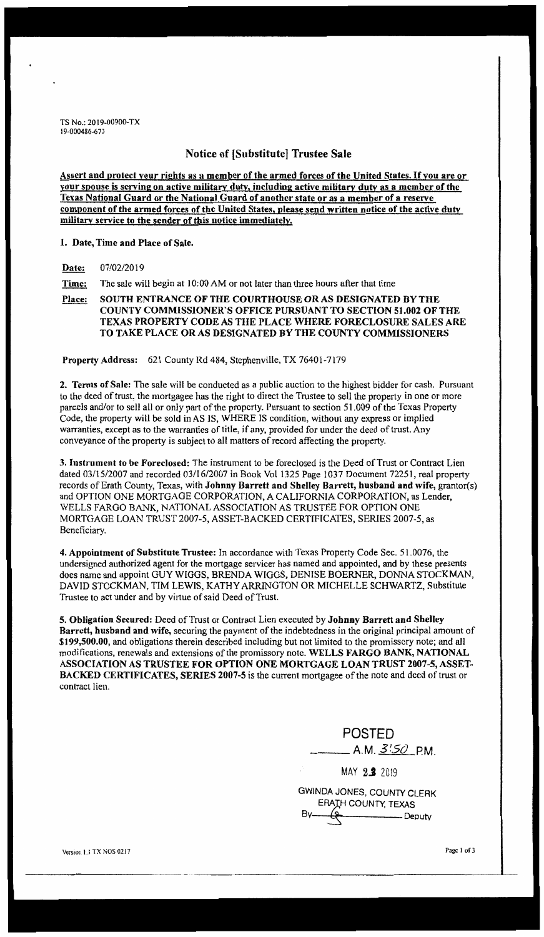TS No.: 2019-00900-TX l 9-000486-6 73

## Notice of [Substitute] Trustee Sale

Assert and protect your rights as a member of the armed forces of the United States. If you are or your spouse is serving on active military duty, including active military duty as a member of the Texas National Guard or the National Guard of another state or as a member of a reserve component of the armed forces of the United States, please send written notice of the active duty militarv service to the sender of this notice immediately.

1. Date, Time and Place of Sale.

**Date:** 07/02/2019

**Time:** The sale will begin at 10:00 AM or not later than three hours after that time

Place: SOUTH ENTRANCE OF THE COURTHOUSE OR AS DESIGNATED BY THE **COUNTY COMMISSIONER'S OFFICE PURSUANT TO SECTION 51.002 OF THE TEXAS PROPERTY CODE AS THE PLACE WHERE FORECLOSURE SALES ARE TO TAKE PLACE OR AS DESIGNATED BY THE COUNTY COMMISSIONERS** 

**Property Address:** 621 County Rd 484, Stephenville, TX 76401-7179

**2. Terms of Sale:** The sale will be conducted as a public auction to the highest bidder for cash. Pursuant to the deed of trust, the mortgagee has the right to direct the Trustee to sell the property in one or more parcels and/or to sell all or only part of the property. Pursuant to section 51.009 of the Texas Property Code, the property will be sold in AS IS, WHERE IS condition, without any express or implied warranties, except as to the warranties of title, if any, provided for under the deed of trust. Any conveyance of the property is subject to all matters of record affecting the property.

**3. Instrument** to **be Foreclosed:** The instrument to be foreclosed is the Deed of Trust or Contract Lien dated 03/15/2007 and recorded 03/16/2007 in Book Vol 1325 Page 1037 Document 72251, real property records of Erath County, Texas, with **Johnny Barrett and Shelley Barrett, husband and wife,** grantor(s) and OPTION ONE MORTGAGE CORPORATION, A CALIFORNIA CORPORATION, as Lender, WELLS FARGO BANK, NATIONAL ASSOCIATION AS TRUSTEE FOR OPTION ONE MORTGAGE LOAN TRUST 2007-5, ASSET-BACKED CERTIFICATES, SERIES 2007-5, as Beneficiary.

4. Appointment of Substitute Trustee: In accordance with Texas Property Code Sec. 51.0076, the undersigned authorized agent for the mortgage servicer has named and appointed, and by these presents does name and appoint GUY WIGGS, BRENDA WIGGS, DENISE BOERNER, DONNA STOCKMAN, DAVID STOCKMAN, TIM LEWIS, KATHY ARRINGTON OR MICHELLE SCHWARTZ, Substitute Trustee to act under and by virtue of said Deed of Trust.

**5. Obligation Secured:** Deed of Trust or Contract Lien executed by **Johnny Barrett and Shelley Barrett, husband and wife,** securing the payment of the indebtedness in the original principal amount of **\$199,500.00,** and obligations therein described including but not limited to the promissory note; and aJl modifications, renewals and extensions of the promissory note. **WELLS FARGO BANK, NATIONAL ASSOCIATION AS TRUSTEE FOR OPTION ONE MORTGAGE LOAN TRUST 2007-5, ASSET~ BACKED CERTIFICATES, SERIES 2007~5** is the current mortgagee of the note and deed of trust or contract lien.

POSTED \_\_\_ A.M. 3:5() P.M.

MAY **2.J** <sup>2019</sup>

GWINOA JONES, COUNTY CLERK ERAIH COUNTY, TEXAS **Beputy** 

Version L.I.TX NOS 0217

Page 1 of 3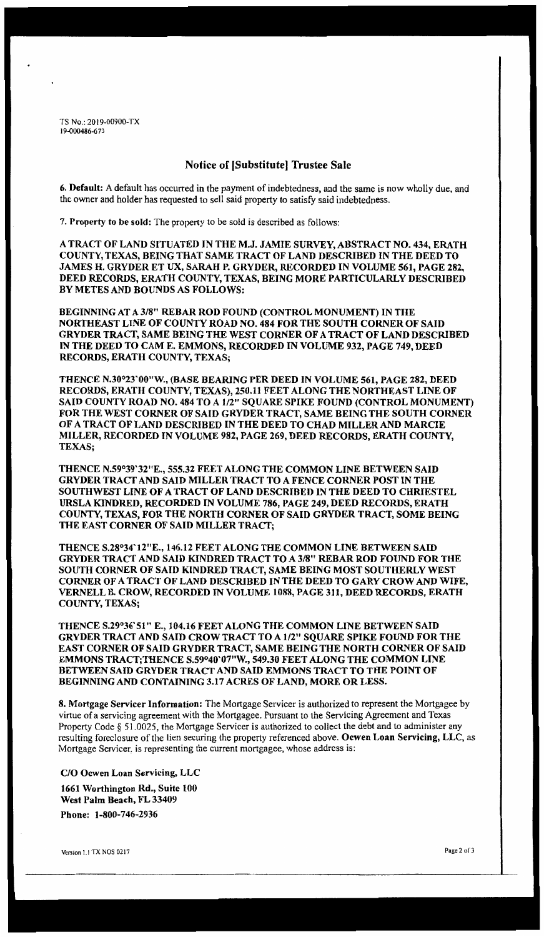TS No.: 2019-00900-TX 19-000486-6 73

## **Notice of [Substitute) Trustee Sale**

**6. Default:** A default has occurred in the payment of indebtedness, and the same is now wholly due, and the owner and holder has requested to sell said property to satisfy said indebtedness.

7. **Property to be sold:** The property to be sold is described as follows:

**A TRACT OF LAND SITUATED IN THE M.J. JAMIE SURVEY, ABSTRACT NO. 434, ERATH COUNTY, TEXAS, BEING THAT SAME TRACT OF LAND DESCRIBED IN THE DEED TO JAMES H. GRYDER ET UX, SARAH P. GRYDER, RECORDED IN VOLUME 561, PAGE 282, DEED RECORDS, ERATH COUNTY, TEXAS, BEING MORE PARTICULARLY DESCRIBED BY METES AND BOUNDS AS FOLLOWS:** 

**BEGINNING AT A 3/8" REBAR ROD FOUND (CONTROL MONUMENT) IN THE NORTHEAST LINE OF COUNTY ROAD NO. 484 FOR THE SOUTH CORNER OF SAID GRYDER TRACT, SAME BEING THE WEST CORNER OF A TRACT OF LAND DESCRIBED IN THE DEED TO CAME. EMMONS, RECORDED IN VOLUME 932, PAGE 749, DEED RECORDS, ERATH COUNTY, TEXAS;** 

**THENCE N.30°23'00"W., (BASE BEARING PER DEED IN VOLUME 561, PAGE 282, DEED RECORDS, ERATH COUNTY, TEXAS), 250.11 FEET ALONG THE NORTHEAST LINE OF SAID COUNTY ROAD NO. 484 TO A** 1/2" **SQUARE SPIKE FOUND (CONTROL MONUMENT) FOR THE WEST CORNER OF SAID GRYDER TRACT, SAME BEING THE SOUTH CORNER OF A TRACT OF LAND DESCRIBED IN THE DEED TO CHAD MILLER AND MARCIE MILLER, RECORDED IN VOLUME 982, PAGE 269, DEED RECORDS, ERATH COUNTY, TEXAS;** 

**THENCE N.59°39'32"E., 555.32 FEET ALONG THE COMMON LINE BETWEEN SAID GRYDER TRACT AND SAID MILLER TRACT TO A FENCE CORNER POST IN THE SOUTHWEST LINE OF A TRACT OF LAND DESCRIBED IN THE DEED TO CHRIESTEL URSLA KINDRED, RECORDED IN VOLUME 786, PAGE 249, DEED RECORDS, ERATH COUNTY, TEXAS, FOR THE NORTH CORNER OF SAID GRYDER TRACT, SOME BEING THE EAST CORNER OF SAID MILLER TRACT;** 

**THENCE S.28°34'12"E., 146.12 FEET ALONG THE COMMON LINE BETWEEN SAID GRYDER TRACT AND SAID KINDRED TRACT TO A 3/8" REBAR ROD FOUND FOR THE SOUTH CORNER OF SAID KINDRED TRACT, SAME BEING MOST SOUTHERLY WEST CORNER OF A TRACT OF LAND DESCRIBED IN THE DEED TO GARY CROW AND WIFE, VERNELL B. CROW, RECORDED** IN **VOLUME 1088, PAGE 311, DEED RECORDS, ERATH COUNTY, TEXAS;** 

**THENCE S.29°36'51" E., 104.16 FEET ALONG THE COMMON LINE BETWEEN SAID GRYDER TRACT AND SAID CROW TRACT TO A 1/2" SQUARE SPIKE FOUND FOR THE EAST CORNER OF SAID GRYDER TRACT, SAME BEING THE NORTH CORNER OF SAID EMMONS TRACT;THENCE S.59°40'07"W., 549.30 FEET ALONG THE COMMON LINE BETWEEN SAID GRYDER TRACT AND SAID EMMONS TRACT TO THE POINT OF BEGINNING AND CONTAINING 3.17 ACRES OF LAND, MORE OR LESS.** 

**8. Mortgage Servicer Information:** The Mortgage Servicer is authorized to represent the Mortgagee by virtue of a servicing agreement with the Mortgagee. Pursuant to the Servicing Agreement and Texas Property Code § 51.0025, the Mortgage Servicer is authorized to collect the debt and to administer any resulting foreclosure of the lien securing the property referenced above. **Ocwen Loan Servicing, LLC,** *as*  Mortgage Servicer, is representing the current mortgagee, whose address is:

**C/0 Ocwen Loan Servicing, LLC 1661 Worthington Rd., Suite 100 West Palm Beach, FL 33409 Phone: 1-800-746-2936**